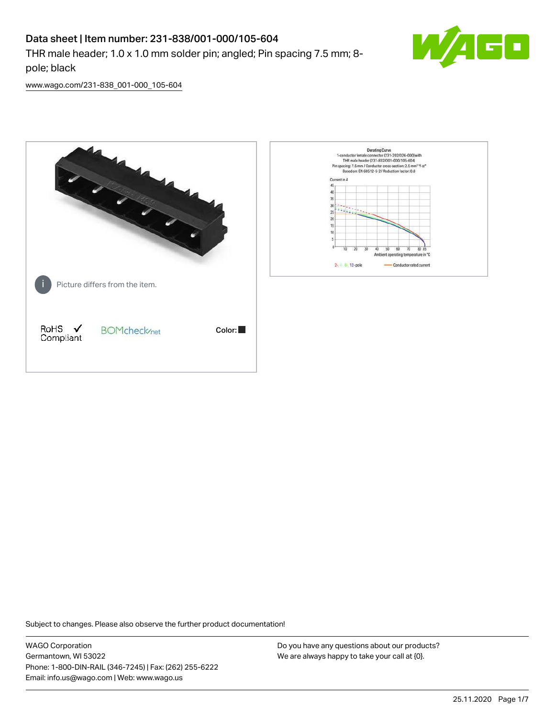# Data sheet | Item number: 231-838/001-000/105-604

THR male header; 1.0 x 1.0 mm solder pin; angled; Pin spacing 7.5 mm; 8 pole; black



[www.wago.com/231-838\\_001-000\\_105-604](http://www.wago.com/231-838_001-000_105-604)



Subject to changes. Please also observe the further product documentation!

WAGO Corporation Germantown, WI 53022 Phone: 1-800-DIN-RAIL (346-7245) | Fax: (262) 255-6222 Email: info.us@wago.com | Web: www.wago.us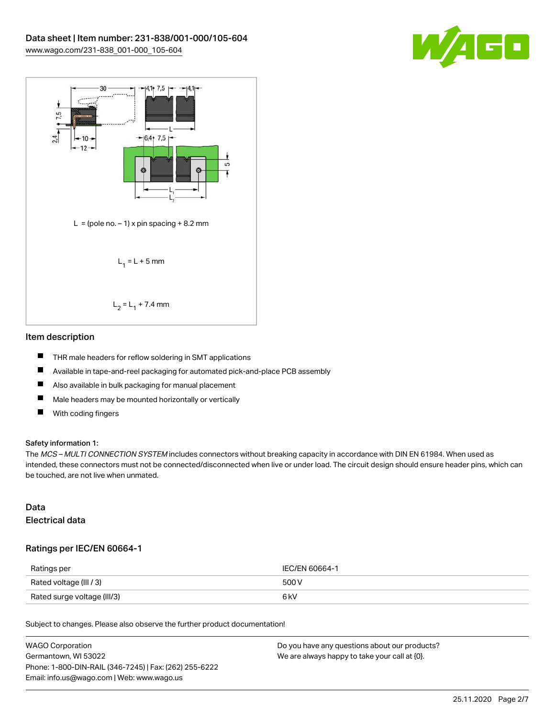



### Item description

- П THR male headers for reflow soldering in SMT applications
- $\blacksquare$ Available in tape-and-reel packaging for automated pick-and-place PCB assembly
- $\qquad \qquad \blacksquare$ Also available in bulk packaging for manual placement
- $\blacksquare$ Male headers may be mounted horizontally or vertically
- $\blacksquare$ With coding fingers

#### Safety information 1:

The MCS - MULTI CONNECTION SYSTEM includes connectors without breaking capacity in accordance with DIN EN 61984. When used as intended, these connectors must not be connected/disconnected when live or under load. The circuit design should ensure header pins, which can be touched, are not live when unmated.

## Data Electrical data

## Ratings per IEC/EN 60664-1

| Ratings per                 | IEC/EN 60664-1 |
|-----------------------------|----------------|
| Rated voltage (III / 3)     | 500 V          |
| Rated surge voltage (III/3) | 6 kV           |

Subject to changes. Please also observe the further product documentation!

| WAGO Corporation                                       | Do you have any questions about our products? |
|--------------------------------------------------------|-----------------------------------------------|
| Germantown, WI 53022                                   | We are always happy to take your call at {0}. |
| Phone: 1-800-DIN-RAIL (346-7245)   Fax: (262) 255-6222 |                                               |
| Email: info.us@wago.com   Web: www.wago.us             |                                               |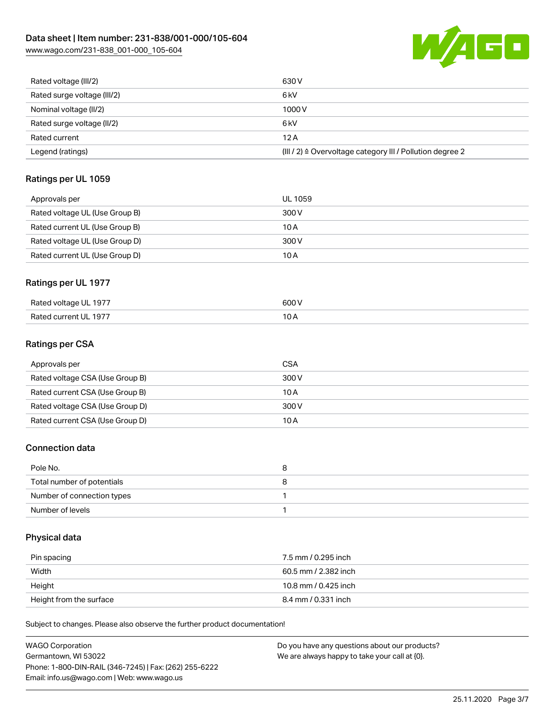

| Rated voltage (III/2)       | 630 V                                                     |
|-----------------------------|-----------------------------------------------------------|
| Rated surge voltage (III/2) | 6 kV                                                      |
| Nominal voltage (II/2)      | 1000V                                                     |
| Rated surge voltage (II/2)  | 6 <sub>k</sub> V                                          |
| Rated current               | 12A                                                       |
| Legend (ratings)            | (III / 2) ≙ Overvoltage category III / Pollution degree 2 |

## Ratings per UL 1059

| Approvals per                  | UL 1059 |
|--------------------------------|---------|
| Rated voltage UL (Use Group B) | 300 V   |
| Rated current UL (Use Group B) | 10 A    |
| Rated voltage UL (Use Group D) | 300 V   |
| Rated current UL (Use Group D) | 10 A    |

## Ratings per UL 1977

| Rated voltage UL 1977         | 500 V                    |
|-------------------------------|--------------------------|
| Rated current UL 1977<br>____ | $\overline{\phantom{a}}$ |

## Ratings per CSA

| Approvals per                   | CSA   |
|---------------------------------|-------|
| Rated voltage CSA (Use Group B) | 300 V |
| Rated current CSA (Use Group B) | 10 A  |
| Rated voltage CSA (Use Group D) | 300 V |
| Rated current CSA (Use Group D) | 10 A  |

## Connection data

| Pole No.                   |  |
|----------------------------|--|
| Total number of potentials |  |
| Number of connection types |  |
| Number of levels           |  |

## Physical data

| Pin spacing             | 7.5 mm / 0.295 inch  |
|-------------------------|----------------------|
| Width                   | 60.5 mm / 2.382 inch |
| Height                  | 10.8 mm / 0.425 inch |
| Height from the surface | 8.4 mm / 0.331 inch  |

Subject to changes. Please also observe the further product documentation!

| WAGO Corporation                                       | Do you have any questions about our products? |
|--------------------------------------------------------|-----------------------------------------------|
| Germantown. WI 53022                                   | We are always happy to take your call at {0}. |
| Phone: 1-800-DIN-RAIL (346-7245)   Fax: (262) 255-6222 |                                               |
| Email: info.us@wago.com   Web: www.wago.us             |                                               |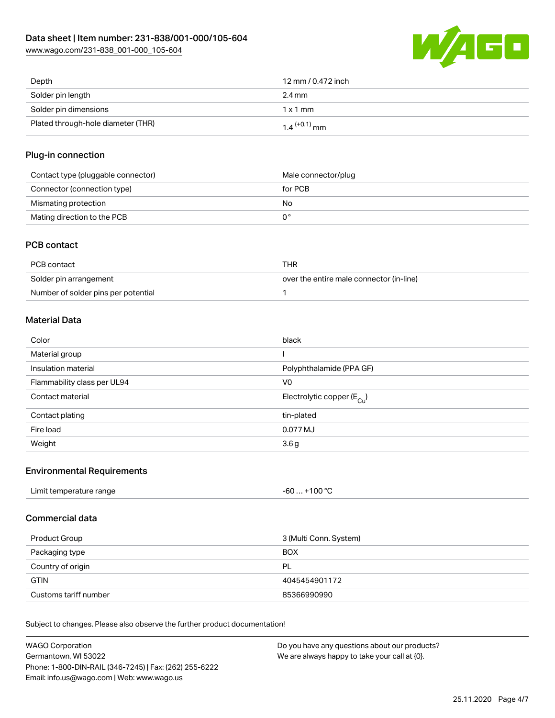

| Depth                              | 12 mm / 0.472 inch         |
|------------------------------------|----------------------------|
| Solder pin length                  | 2.4 mm                     |
| Solder pin dimensions              | $1 \times 1$ mm            |
| Plated through-hole diameter (THR) | $1.4$ <sup>(+0.1)</sup> mm |

## Plug-in connection

| Contact type (pluggable connector) | Male connector/plug |
|------------------------------------|---------------------|
| Connector (connection type)        | for PCB             |
| Mismating protection               | No                  |
| Mating direction to the PCB        |                     |

## PCB contact

| PCB contact                         | THR                                      |
|-------------------------------------|------------------------------------------|
| Solder pin arrangement              | over the entire male connector (in-line) |
| Number of solder pins per potential |                                          |

## Material Data

| Color                       | black                                 |
|-----------------------------|---------------------------------------|
| Material group              |                                       |
| Insulation material         | Polyphthalamide (PPA GF)              |
| Flammability class per UL94 | V0                                    |
| Contact material            | Electrolytic copper $(E_{\text{Cl}})$ |
| Contact plating             | tin-plated                            |
| Fire load                   | 0.077 MJ                              |
| Weight                      | 3.6 <sub>g</sub>                      |

## Environmental Requirements

| Limit temperature range | . +100 °C |
|-------------------------|-----------|
|                         | -60       |
|                         |           |

## Commercial data

| Product Group         | 3 (Multi Conn. System) |
|-----------------------|------------------------|
| Packaging type        | <b>BOX</b>             |
| Country of origin     | PL                     |
| <b>GTIN</b>           | 4045454901172          |
| Customs tariff number | 85366990990            |

Subject to changes. Please also observe the further product documentation!

| WAGO Corporation                                       | Do you have any questions about our products? |
|--------------------------------------------------------|-----------------------------------------------|
| Germantown, WI 53022                                   | We are always happy to take your call at {0}. |
| Phone: 1-800-DIN-RAIL (346-7245)   Fax: (262) 255-6222 |                                               |
| Email: info.us@wago.com   Web: www.wago.us             |                                               |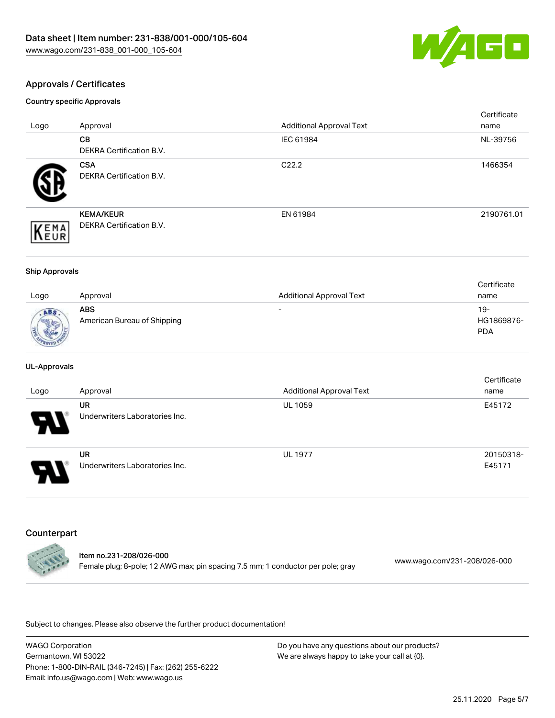

## Approvals / Certificates

Country specific Approvals

| Logo               | Approval                                            | <b>Additional Approval Text</b> | Certificate<br>name |
|--------------------|-----------------------------------------------------|---------------------------------|---------------------|
|                    | CВ<br><b>DEKRA Certification B.V.</b>               | IEC 61984                       | NL-39756            |
|                    | <b>CSA</b><br>DEKRA Certification B.V.              | C <sub>22.2</sub>               | 1466354             |
| EMA<br><b>NEUR</b> | <b>KEMA/KEUR</b><br><b>DEKRA Certification B.V.</b> | EN 61984                        | 2190761.01          |

#### Ship Approvals

|              |                             |                                 | Certificate |
|--------------|-----------------------------|---------------------------------|-------------|
| Logo         | Approval                    | <b>Additional Approval Text</b> | name        |
| ABS          | <b>ABS</b>                  | $\overline{\phantom{0}}$        | $19-$       |
| <b>Sight</b> | American Bureau of Shipping |                                 | HG1869876-  |
|              |                             |                                 | <b>PDA</b>  |
| PROV20       |                             |                                 |             |

#### UL-Approvals

| Logo | Approval                                    | <b>Additional Approval Text</b> | Certificate<br>name |
|------|---------------------------------------------|---------------------------------|---------------------|
| Ъ.   | <b>UR</b><br>Underwriters Laboratories Inc. | <b>UL 1059</b>                  | E45172              |
| J    | UR<br>Underwriters Laboratories Inc.        | <b>UL 1977</b>                  | 20150318-<br>E45171 |

## Counterpart



Item no.231-208/026-000 Female plug; 8-pole; 12 AWG max; pin spacing 7.5 mm; 1 conductor per pole; gray [www.wago.com/231-208/026-000](https://www.wago.com/231-208/026-000)

Subject to changes. Please also observe the further product documentation!

WAGO Corporation Germantown, WI 53022 Phone: 1-800-DIN-RAIL (346-7245) | Fax: (262) 255-6222 Email: info.us@wago.com | Web: www.wago.us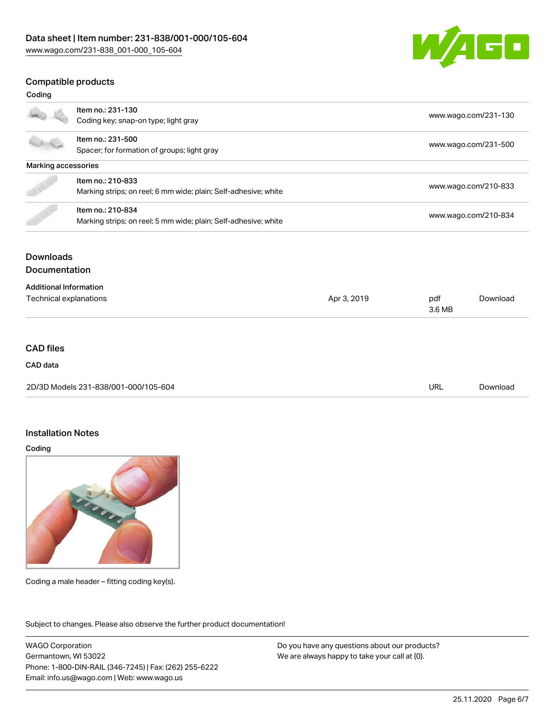

## Compatible products

| Coding                        |                                                                 |             |                      |                      |  |
|-------------------------------|-----------------------------------------------------------------|-------------|----------------------|----------------------|--|
|                               | Item no.: 231-130                                               |             |                      | www.wago.com/231-130 |  |
|                               | Coding key; snap-on type; light gray                            |             |                      |                      |  |
|                               | Item no.: 231-500                                               |             |                      |                      |  |
|                               | Spacer; for formation of groups; light gray                     |             |                      | www.wago.com/231-500 |  |
| Marking accessories           |                                                                 |             |                      |                      |  |
|                               | Item no.: 210-833                                               |             | www.wago.com/210-833 |                      |  |
|                               | Marking strips; on reel; 6 mm wide; plain; Self-adhesive; white |             |                      |                      |  |
|                               | Item no.: 210-834                                               |             |                      |                      |  |
|                               | Marking strips; on reel; 5 mm wide; plain; Self-adhesive; white |             | www.wago.com/210-834 |                      |  |
| <b>Downloads</b>              |                                                                 |             |                      |                      |  |
| <b>Documentation</b>          |                                                                 |             |                      |                      |  |
| <b>Additional Information</b> |                                                                 |             |                      |                      |  |
| Technical explanations        |                                                                 | Apr 3, 2019 | pdf                  | Download             |  |
|                               |                                                                 |             | 3.6 MB               |                      |  |

## CAD files

## CAD data

| 2D/3D Models 231-838/001-000/105-604 | URL | Download |
|--------------------------------------|-----|----------|
|                                      |     |          |

### Installation Notes

Coding



Coding a male header – fitting coding key(s).

Subject to changes. Please also observe the further product documentation! Product family

WAGO Corporation Germantown, WI 53022 Phone: 1-800-DIN-RAIL (346-7245) | Fax: (262) 255-6222 Email: info.us@wago.com | Web: www.wago.us